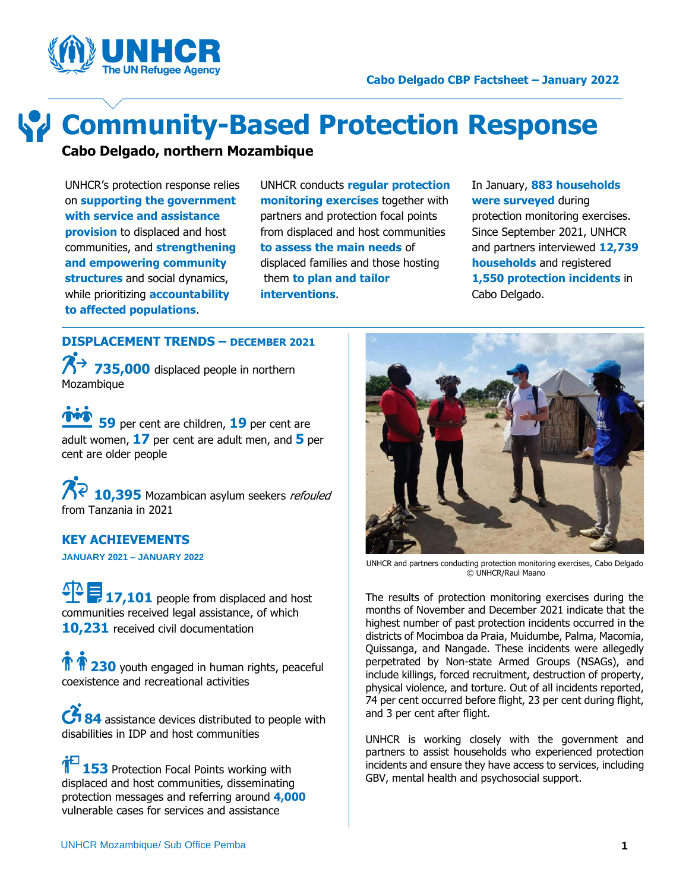



# **Community-Based Protection Response**

**Cabo Delgado, northern Mozambique**

UNHCR's protection response relies on **supporting the government with service and assistance provision** to displaced and host communities, and **strengthening and empowering community structures** and social dynamics, while prioritizing **accountability to affected populations**.

UNHCR conducts **regular protection monitoring exercises** together with partners and protection focal points from displaced and host communities **to assess the main needs** of displaced families and those hosting them **to plan and tailor interventions**.

In January, **883 households were surveyed** during protection monitoring exercises. Since September 2021, UNHCR and partners interviewed **12,739 households** and registered **1,550 protection incidents** in Cabo Delgado.

**DISPLACEMENT TRENDS – DECEMBER 2021 735,000** displaced people in northern Mozambique

 **59** per cent are children, **19** per cent are adult women, **17** per cent are adult men, and **5** per cent are older people

**10,395** Mozambican asylum seekers *refouled* from Tanzania in 2021

# **KEY ACHIEVEMENTS**

**JANUARY 2021 – JANUARY 2022**

17,101 people from displaced and host communities received legal assistance, of which **10,231** received civil documentation

**1** 230 youth engaged in human rights, peaceful coexistence and recreational activities

**84** assistance devices distributed to people with disabilities in IDP and host communities

**153** Protection Focal Points working with displaced and host communities, disseminating protection messages and referring around **4,000** vulnerable cases for services and assistance



UNHCR and partners conducting protection monitoring exercises, Cabo Delgado © UNHCR/Raul Maano

The results of protection monitoring exercises during the months of November and December 2021 indicate that the highest number of past protection incidents occurred in the districts of Mocimboa da Praia, Muidumbe, Palma, Macomia, Quissanga, and Nangade. These incidents were allegedly perpetrated by Non-state Armed Groups (NSAGs), and include killings, forced recruitment, destruction of property, physical violence, and torture. Out of all incidents reported, 74 per cent occurred before flight, 23 per cent during flight, and 3 per cent after flight.

UNHCR is working closely with the government and partners to assist households who experienced protection incidents and ensure they have access to services, including GBV, mental health and psychosocial support.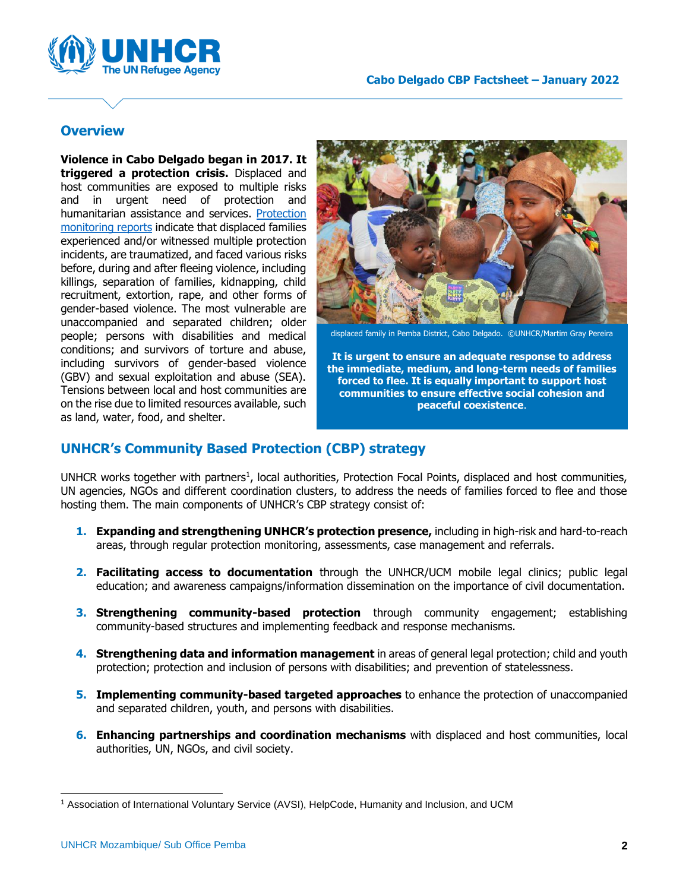

## **Overview**

**Violence in Cabo Delgado began in 2017. It triggered a protection crisis.** Displaced and host communities are exposed to multiple risks and in urgent need of protection and humanitarian assistance and services. [Protection](https://www.humanitarianresponse.info/en/operations/mozambique/protection)  [monitoring reports](https://www.humanitarianresponse.info/en/operations/mozambique/protection) indicate that displaced families experienced and/or witnessed multiple protection incidents, are traumatized, and faced various risks before, during and after fleeing violence, including killings, separation of families, kidnapping, child recruitment, extortion, rape, and other forms of gender-based violence. The most vulnerable are unaccompanied and separated children; older people; persons with disabilities and medical conditions; and survivors of torture and abuse, including survivors of gender-based violence (GBV) and sexual exploitation and abuse (SEA). Tensions between local and host communities are on the rise due to limited resources available, such as land, water, food, and shelter.



displaced family in Pemba District, Cabo Delgado. ©UNHCR/Martim Gray Pereira

**It is urgent to ensure an adequate response to address the immediate, medium, and long-term needs of families forced to flee. It is equally important to support host communities to ensure effective social cohesion and peaceful coexistence**.

### **UNHCR's Community Based Protection (CBP) strategy**

UNHCR works together with partners<sup>1</sup>, local authorities, Protection Focal Points, displaced and host communities, UN agencies, NGOs and different coordination clusters, to address the needs of families forced to flee and those hosting them. The main components of UNHCR's CBP strategy consist of:

- **1. Expanding and strengthening UNHCR's protection presence,** including in high-risk and hard-to-reach areas, through regular protection monitoring, assessments, case management and referrals.
- **2. Facilitating access to documentation** through the UNHCR/UCM mobile legal clinics; public legal education; and awareness campaigns/information dissemination on the importance of civil documentation.
- **3. Strengthening community-based protection** through community engagement; establishing community-based structures and implementing feedback and response mechanisms.
- **4. Strengthening data and information management** in areas of general legal protection; child and youth protection; protection and inclusion of persons with disabilities; and prevention of statelessness.
- **5. Implementing community-based targeted approaches** to enhance the protection of unaccompanied and separated children, youth, and persons with disabilities.
- **6. Enhancing partnerships and coordination mechanisms** with displaced and host communities, local authorities, UN, NGOs, and civil society.

<sup>1</sup> Association of International Voluntary Service (AVSI), HelpCode, Humanity and Inclusion, and UCM